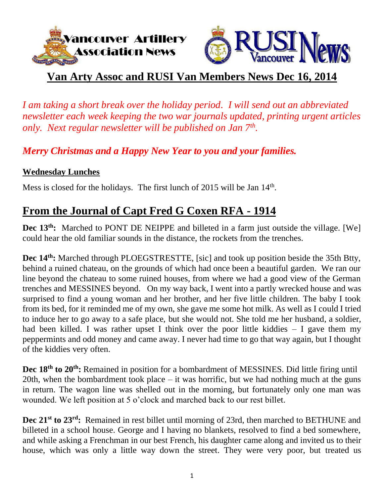



## **Van Arty Assoc and RUSI Van Members News Dec 16, 2014**

*I am taking a short break over the holiday period. I will send out an abbreviated newsletter each week keeping the two war journals updated, printing urgent articles only. Next regular newsletter will be published on Jan 7th .* 

*Merry Christmas and a Happy New Year to you and your families.*

#### **Wednesday Lunches**

Mess is closed for the holidays. The first lunch of 2015 will be Jan  $14<sup>th</sup>$ .

## **From the Journal of Capt Fred G Coxen RFA - 1914**

**Dec** 13<sup>th</sup>: Marched to PONT DE NEIPPE and billeted in a farm just outside the village. [We] could hear the old familiar sounds in the distance, the rockets from the trenches.

Dec 14<sup>th</sup>: Marched through PLOEGSTRESTTE, [sic] and took up position beside the 35th Btty, behind a ruined chateau, on the grounds of which had once been a beautiful garden. We ran our line beyond the chateau to some ruined houses, from where we had a good view of the German trenches and MESSINES beyond. On my way back, I went into a partly wrecked house and was surprised to find a young woman and her brother, and her five little children. The baby I took from its bed, for it reminded me of my own, she gave me some hot milk. As well as I could I tried to induce her to go away to a safe place, but she would not. She told me her husband, a soldier, had been killed. I was rather upset I think over the poor little kiddies  $-$  I gave them my peppermints and odd money and came away. I never had time to go that way again, but I thought of the kiddies very often.

**Dec 18th to 20th:** Remained in position for a bombardment of MESSINES. Did little firing until 20th, when the bombardment took place  $-$  it was horrific, but we had nothing much at the guns in return. The wagon line was shelled out in the morning, but fortunately only one man was wounded. We left position at 5 o'clock and marched back to our rest billet.

**Dec 21st to 23rd:** Remained in rest billet until morning of 23rd, then marched to BETHUNE and billeted in a school house. George and I having no blankets, resolved to find a bed somewhere, and while asking a Frenchman in our best French, his daughter came along and invited us to their house, which was only a little way down the street. They were very poor, but treated us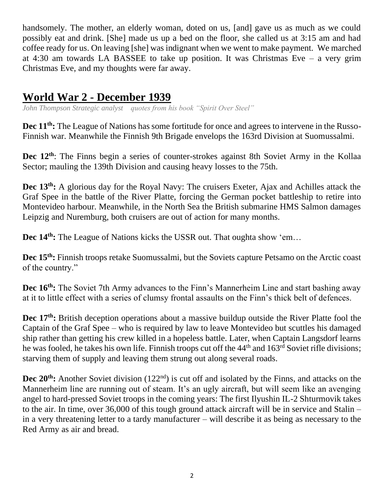handsomely. The mother, an elderly woman, doted on us, [and] gave us as much as we could possibly eat and drink. [She] made us up a bed on the floor, she called us at 3:15 am and had coffee ready for us. On leaving [she] was indignant when we went to make payment. We marched at 4:30 am towards LA BASSEE to take up position. It was Christmas Eve – a very grim Christmas Eve, and my thoughts were far away.

### **World War 2 - December 1939**

*John Thompson Strategic analyst quotes from his book "Spirit Over Steel"*

**Dec 11th:** The League of Nations has some fortitude for once and agrees to intervene in the Russo-Finnish war. Meanwhile the Finnish 9th Brigade envelops the 163rd Division at Suomussalmi.

**Dec 12th**: The Finns begin a series of counter-strokes against 8th Soviet Army in the Kollaa Sector; mauling the 139th Division and causing heavy losses to the 75th.

**Dec 13th:** A glorious day for the Royal Navy: The cruisers Exeter, Ajax and Achilles attack the Graf Spee in the battle of the River Platte, forcing the German pocket battleship to retire into Montevideo harbour. Meanwhile, in the North Sea the British submarine HMS Salmon damages Leipzig and Nuremburg, both cruisers are out of action for many months.

**Dec 14th:** The League of Nations kicks the USSR out. That oughta show 'em…

**Dec 15th:** Finnish troops retake Suomussalmi, but the Soviets capture Petsamo on the Arctic coast of the country."

**Dec 16<sup>th</sup>:** The Soviet 7th Army advances to the Finn's Mannerheim Line and start bashing away at it to little effect with a series of clumsy frontal assaults on the Finn's thick belt of defences.

**Dec 17th:** British deception operations about a massive buildup outside the River Platte fool the Captain of the Graf Spee – who is required by law to leave Montevideo but scuttles his damaged ship rather than getting his crew killed in a hopeless battle. Later, when Captain Langsdorf learns he was fooled, he takes his own life. Finnish troops cut off the 44<sup>th</sup> and 163<sup>rd</sup> Soviet rifle divisions; starving them of supply and leaving them strung out along several roads.

**Dec 20<sup>th</sup>:** Another Soviet division (122<sup>nd</sup>) is cut off and isolated by the Finns, and attacks on the Mannerheim line are running out of steam. It's an ugly aircraft, but will seem like an avenging angel to hard-pressed Soviet troops in the coming years: The first Ilyushin IL-2 Shturmovik takes to the air. In time, over 36,000 of this tough ground attack aircraft will be in service and Stalin – in a very threatening letter to a tardy manufacturer – will describe it as being as necessary to the Red Army as air and bread.